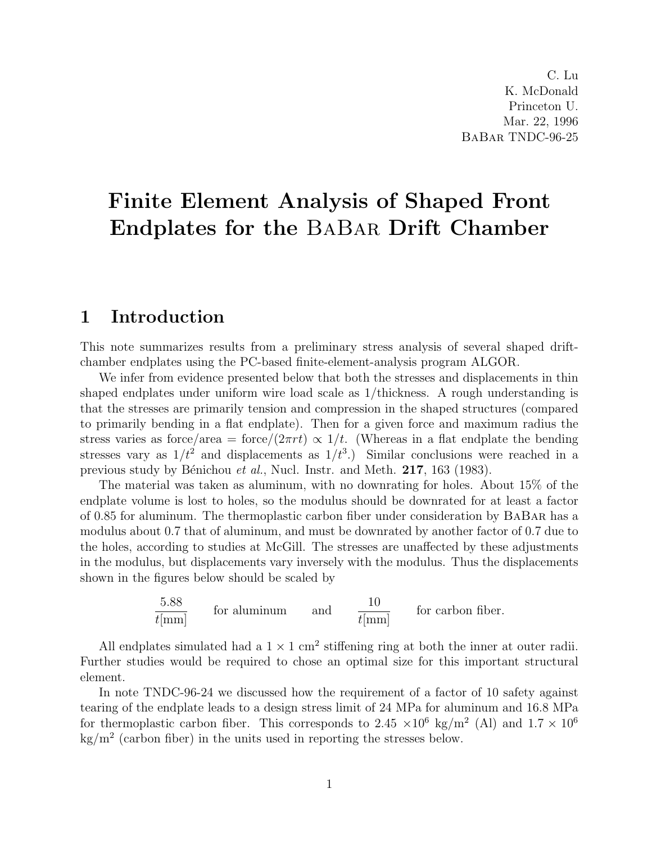C. Lu K. McDonald Princeton U. Mar. 22, 1996 BaBar TNDC-96-25

# Finite Element Analysis of Shaped Front Endplates for the BaBar Drift Chamber

#### 1 Introduction

This note summarizes results from a preliminary stress analysis of several shaped driftchamber endplates using the PC-based finite-element-analysis program ALGOR.

We infer from evidence presented below that both the stresses and displacements in thin shaped endplates under uniform wire load scale as 1/thickness. A rough understanding is that the stresses are primarily tension and compression in the shaped structures (compared to primarily bending in a flat endplate). Then for a given force and maximum radius the stress varies as force/area = force/ $(2\pi rt) \propto 1/t$ . (Whereas in a flat endplate the bending stresses vary as  $1/t^2$  and displacements as  $1/t^3$ .) Similar conclusions were reached in a previous study by Bénichou et al., Nucl. Instr. and Meth. 217, 163 (1983).

The material was taken as aluminum, with no downrating for holes. About 15% of the endplate volume is lost to holes, so the modulus should be downrated for at least a factor of 0.85 for aluminum. The thermoplastic carbon fiber under consideration by BaBar has a modulus about 0.7 that of aluminum, and must be downrated by another factor of 0.7 due to the holes, according to studies at McGill. The stresses are unaffected by these adjustments in the modulus, but displacements vary inversely with the modulus. Thus the displacements shown in the figures below should be scaled by

$$
\frac{5.88}{t \text{[mm]}}
$$
 for aluminum and 
$$
\frac{10}{t \text{[mm]}}
$$
 for carbon fiber.

All endplates simulated had a  $1 \times 1$  cm<sup>2</sup> stiffening ring at both the inner at outer radii. Further studies would be required to chose an optimal size for this important structural element.

In note TNDC-96-24 we discussed how the requirement of a factor of 10 safety against tearing of the endplate leads to a design stress limit of 24 MPa for aluminum and 16.8 MPa for thermoplastic carbon fiber. This corresponds to 2.45  $\times 10^6$  kg/m<sup>2</sup> (Al) and  $1.7 \times 10^6$  $\text{kg/m}^2$  (carbon fiber) in the units used in reporting the stresses below.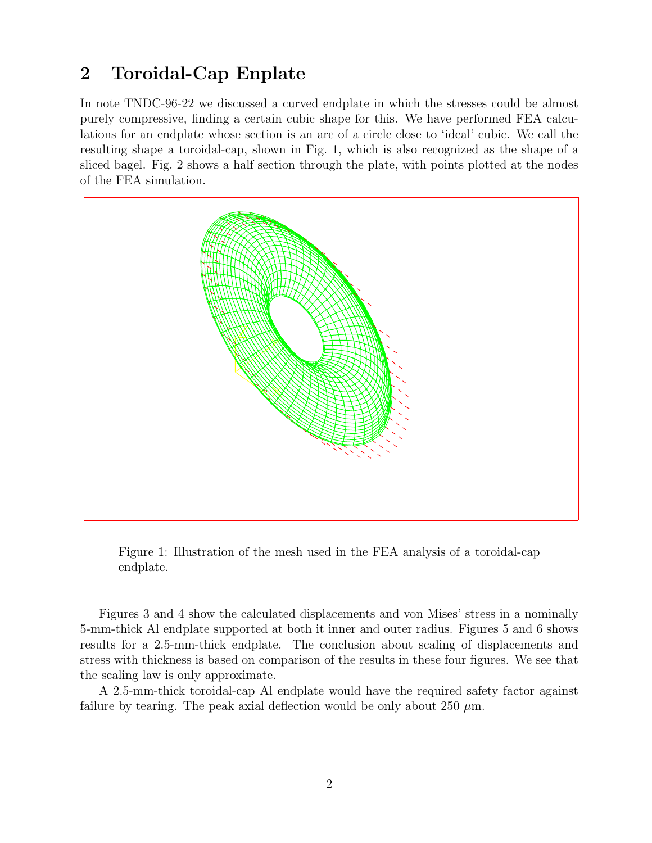## 2 Toroidal-Cap Enplate

In note TNDC-96-22 we discussed a curved endplate in which the stresses could be almost purely compressive, finding a certain cubic shape for this. We have performed FEA calculations for an endplate whose section is an arc of a circle close to 'ideal' cubic. We call the resulting shape a toroidal-cap, shown in Fig. 1, which is also recognized as the shape of a sliced bagel. Fig. 2 shows a half section through the plate, with points plotted at the nodes of the FEA simulation.



Figure 1: Illustration of the mesh used in the FEA analysis of a toroidal-cap endplate.

Figures 3 and 4 show the calculated displacements and von Mises' stress in a nominally 5-mm-thick Al endplate supported at both it inner and outer radius. Figures 5 and 6 shows results for a 2.5-mm-thick endplate. The conclusion about scaling of displacements and stress with thickness is based on comparison of the results in these four figures. We see that the scaling law is only approximate.

A 2.5-mm-thick toroidal-cap Al endplate would have the required safety factor against failure by tearing. The peak axial deflection would be only about 250  $\mu$ m.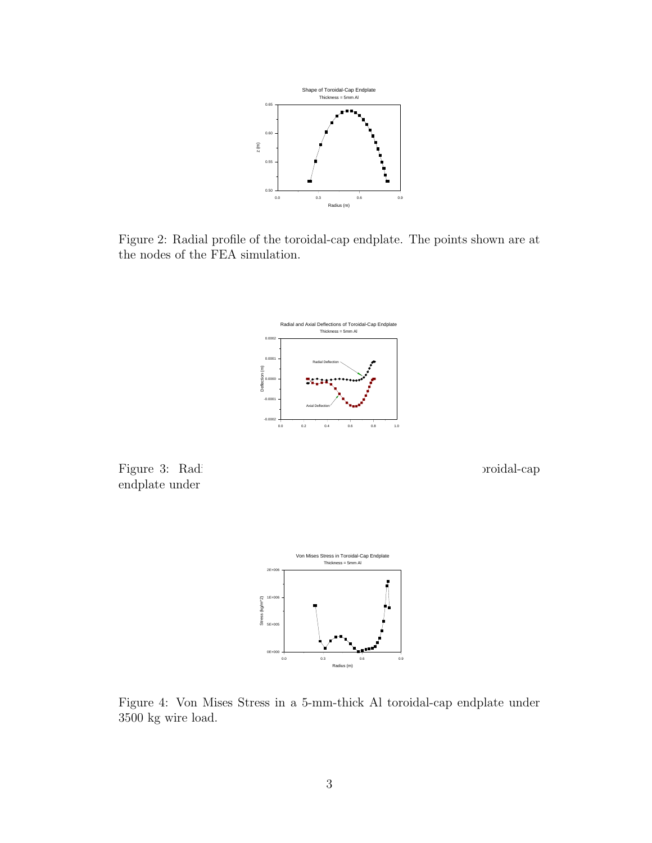

Figure 2: Radial profile of the toroidal-cap endplate. The points shown are at the nodes of the FEA simulation.



Figure 3: Radi and axial displacements of a 5-mm-thick Al toroidal-cap broidal-cap endplate under  $\,$ 



Figure 4: Von Mises Stress in a 5-mm-thick Al toroidal-cap endplate under 3500 kg wire load.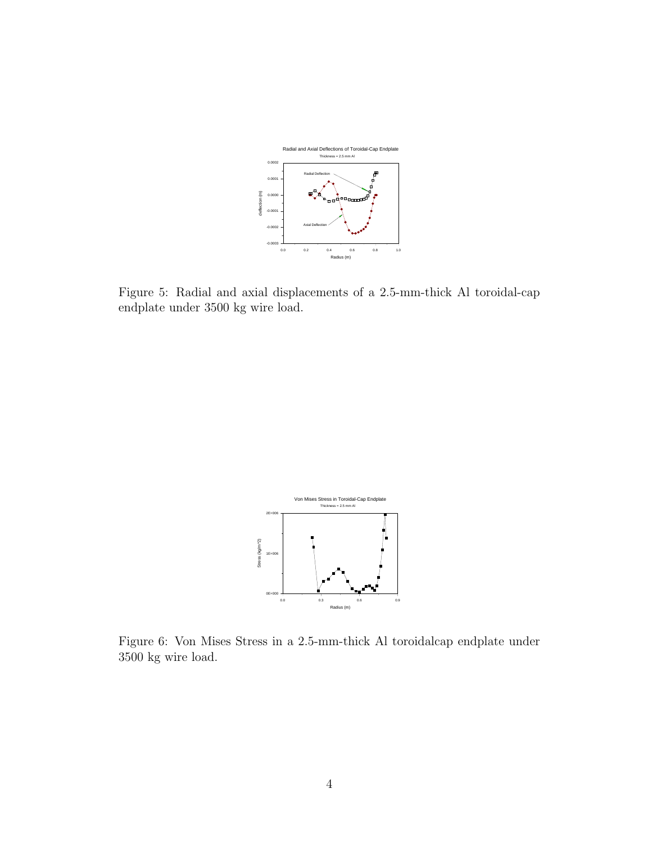

Figure 5: Radial and axial displacements of a 2.5-mm-thick Al toroidal-cap endplate under 3500 kg wire load.



Figure 6: Von Mises Stress in a 2.5-mm-thick Al toroidalcap endplate under 3500 kg wire load.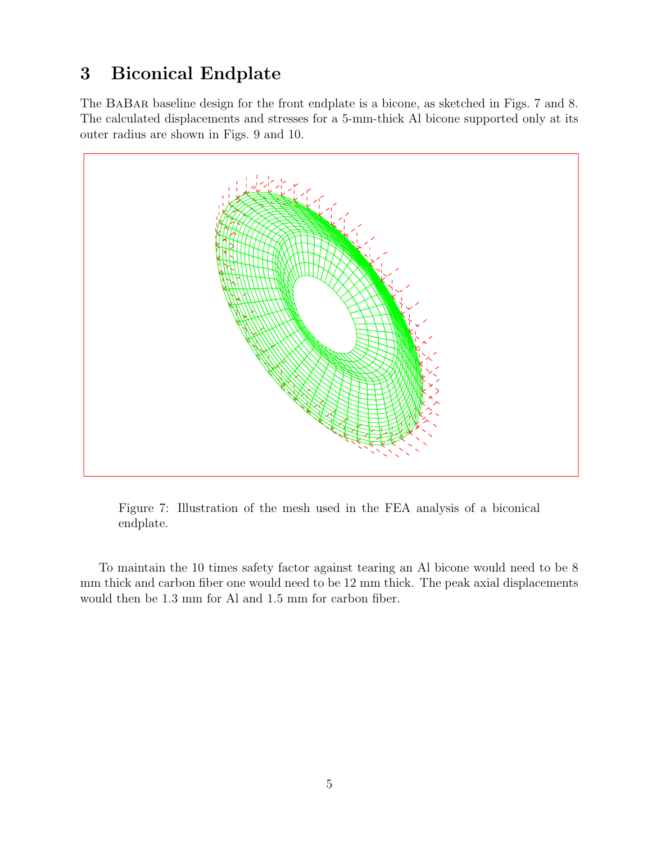## 3 Biconical Endplate

The BaBar baseline design for the front endplate is a bicone, as sketched in Figs. 7 and 8. The calculated displacements and stresses for a 5-mm-thick Al bicone supported only at its outer radius are shown in Figs. 9 and 10.



Figure 7: Illustration of the mesh used in the FEA analysis of a biconical endplate.

To maintain the 10 times safety factor against tearing an Al bicone would need to be 8 mm thick and carbon fiber one would need to be 12 mm thick. The peak axial displacements would then be 1.3 mm for Al and 1.5 mm for carbon fiber.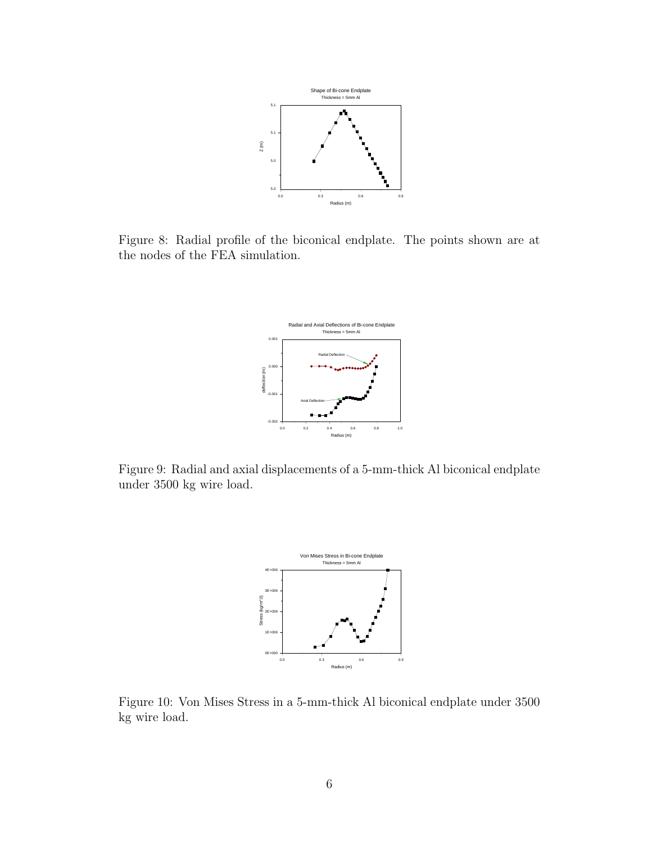

Figure 8: Radial profile of the biconical endplate. The points shown are at the nodes of the FEA simulation.



Figure 9: Radial and axial displacements of a 5-mm-thick Al biconical endplate under 3500 kg wire load.



Figure 10: Von Mises Stress in a 5-mm-thick Al biconical endplate under 3500 kg wire load.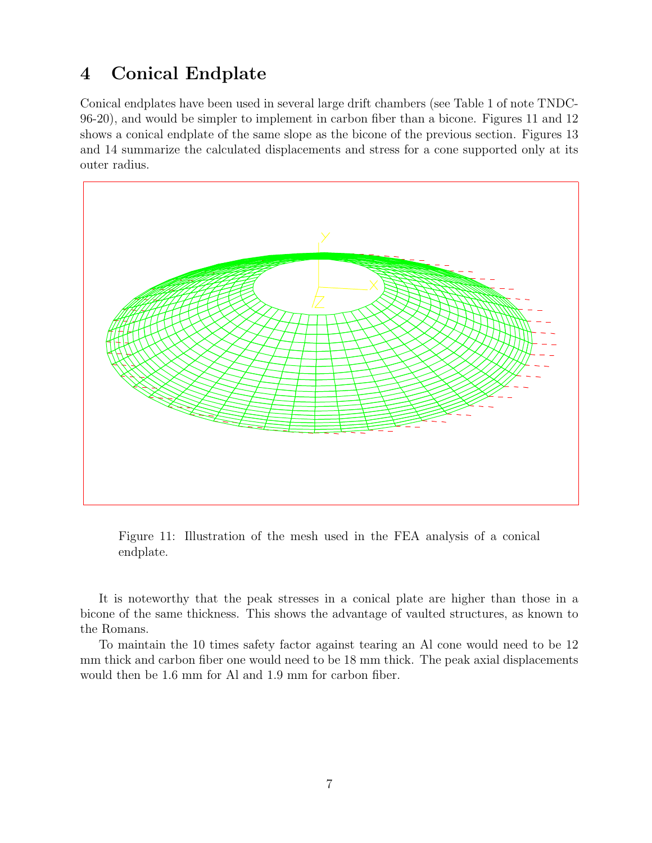#### 4 Conical Endplate

Conical endplates have been used in several large drift chambers (see Table 1 of note TNDC-96-20), and would be simpler to implement in carbon fiber than a bicone. Figures 11 and 12 shows a conical endplate of the same slope as the bicone of the previous section. Figures 13 and 14 summarize the calculated displacements and stress for a cone supported only at its outer radius.



Figure 11: Illustration of the mesh used in the FEA analysis of a conical endplate.

It is noteworthy that the peak stresses in a conical plate are higher than those in a bicone of the same thickness. This shows the advantage of vaulted structures, as known to the Romans.

To maintain the 10 times safety factor against tearing an Al cone would need to be 12 mm thick and carbon fiber one would need to be 18 mm thick. The peak axial displacements would then be 1.6 mm for Al and 1.9 mm for carbon fiber.